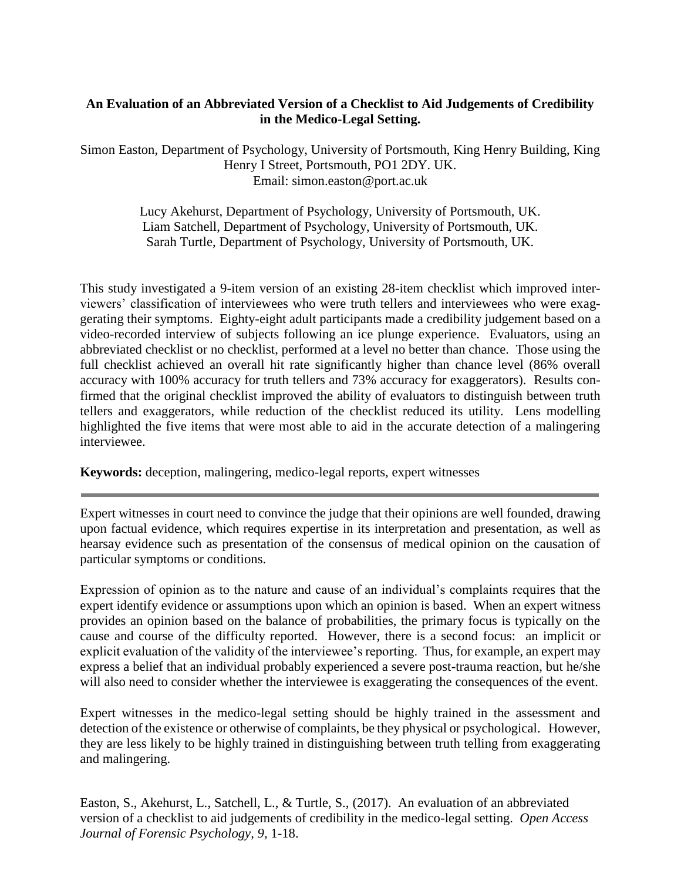# **An Evaluation of an Abbreviated Version of a Checklist to Aid Judgements of Credibility in the Medico-Legal Setting.**

Simon Easton, Department of Psychology, University of Portsmouth, King Henry Building, King Henry I Street, Portsmouth, PO1 2DY. UK. Email: [simon.easton@port.ac.uk](mailto:simon.easton@port.ac.uk)

> Lucy Akehurst, Department of Psychology, University of Portsmouth, UK. Liam Satchell, Department of Psychology, University of Portsmouth, UK. Sarah Turtle, Department of Psychology, University of Portsmouth, UK.

This study investigated a 9-item version of an existing 28-item checklist which improved interviewers' classification of interviewees who were truth tellers and interviewees who were exaggerating their symptoms. Eighty-eight adult participants made a credibility judgement based on a video-recorded interview of subjects following an ice plunge experience. Evaluators, using an abbreviated checklist or no checklist, performed at a level no better than chance. Those using the full checklist achieved an overall hit rate significantly higher than chance level (86% overall accuracy with 100% accuracy for truth tellers and 73% accuracy for exaggerators). Results confirmed that the original checklist improved the ability of evaluators to distinguish between truth tellers and exaggerators, while reduction of the checklist reduced its utility. Lens modelling highlighted the five items that were most able to aid in the accurate detection of a malingering interviewee.

**Keywords:** deception, malingering, medico-legal reports, expert witnesses

Expert witnesses in court need to convince the judge that their opinions are well founded, drawing upon factual evidence, which requires expertise in its interpretation and presentation, as well as hearsay evidence such as presentation of the consensus of medical opinion on the causation of particular symptoms or conditions.

Expression of opinion as to the nature and cause of an individual's complaints requires that the expert identify evidence or assumptions upon which an opinion is based. When an expert witness provides an opinion based on the balance of probabilities, the primary focus is typically on the cause and course of the difficulty reported. However, there is a second focus: an implicit or explicit evaluation of the validity of the interviewee's reporting. Thus, for example, an expert may express a belief that an individual probably experienced a severe post-trauma reaction, but he/she will also need to consider whether the interviewee is exaggerating the consequences of the event.

Expert witnesses in the medico-legal setting should be highly trained in the assessment and detection of the existence or otherwise of complaints, be they physical or psychological. However, they are less likely to be highly trained in distinguishing between truth telling from exaggerating and malingering.

Easton, S., Akehurst, L., Satchell, L., & Turtle, S., (2017). An evaluation of an abbreviated version of a checklist to aid judgements of credibility in the medico-legal setting. *Open Access Journal of Forensic Psychology, 9,* 1-18.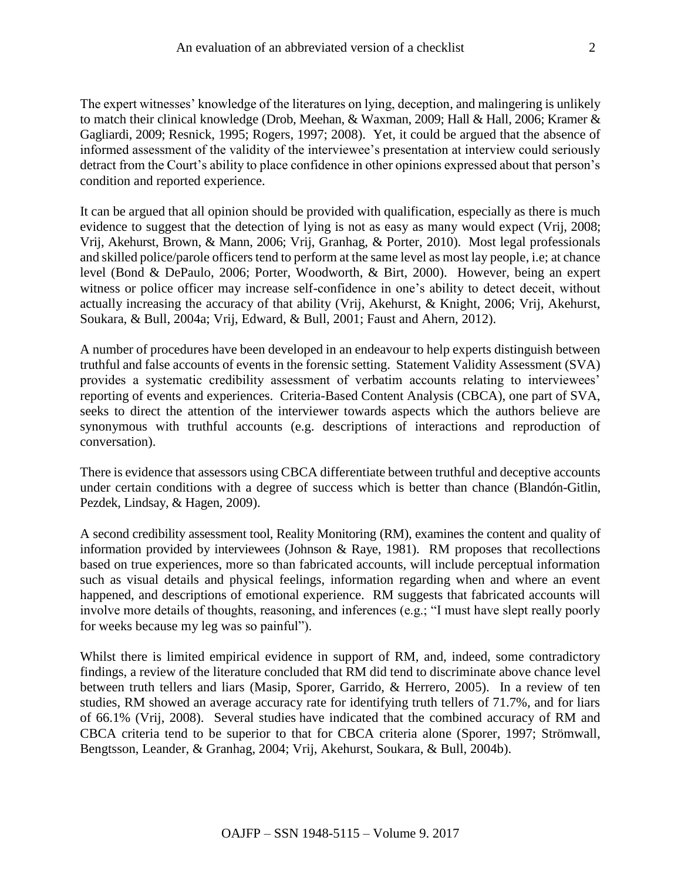The expert witnesses' knowledge of the literatures on lying, deception, and malingering is unlikely to match their clinical knowledge (Drob, Meehan, & Waxman, 2009; Hall & Hall, 2006; Kramer & Gagliardi, 2009; Resnick, 1995; Rogers, 1997; 2008). Yet, it could be argued that the absence of informed assessment of the validity of the interviewee's presentation at interview could seriously detract from the Court's ability to place confidence in other opinions expressed about that person's condition and reported experience.

It can be argued that all opinion should be provided with qualification, especially as there is much evidence to suggest that the detection of lying is not as easy as many would expect (Vrij, 2008; Vrij, Akehurst, Brown, & Mann, 2006; Vrij, Granhag, & Porter, 2010). Most legal professionals and skilled police/parole officers tend to perform at the same level as most lay people, i.e; at chance level (Bond & DePaulo, 2006; Porter, Woodworth, & Birt, 2000). However, being an expert witness or police officer may increase self-confidence in one's ability to detect deceit, without actually increasing the accuracy of that ability (Vrij, Akehurst, & Knight, 2006; Vrij, Akehurst, Soukara, & Bull, 2004a; Vrij, Edward, & Bull, 2001; Faust and Ahern, 2012).

A number of procedures have been developed in an endeavour to help experts distinguish between truthful and false accounts of events in the forensic setting. Statement Validity Assessment (SVA) provides a systematic credibility assessment of verbatim accounts relating to interviewees' reporting of events and experiences. Criteria-Based Content Analysis (CBCA), one part of SVA, seeks to direct the attention of the interviewer towards aspects which the authors believe are synonymous with truthful accounts (e.g. descriptions of interactions and reproduction of conversation).

There is evidence that assessors using CBCA differentiate between truthful and deceptive accounts under certain conditions with a degree of success which is better than chance (Blandón-Gitlin, Pezdek, Lindsay, & Hagen, 2009).

A second credibility assessment tool, Reality Monitoring (RM), examines the content and quality of information provided by interviewees (Johnson & Raye, 1981). RM proposes that recollections based on true experiences, more so than fabricated accounts, will include perceptual information such as visual details and physical feelings, information regarding when and where an event happened, and descriptions of emotional experience. RM suggests that fabricated accounts will involve more details of thoughts, reasoning, and inferences (e.g.; "I must have slept really poorly for weeks because my leg was so painful").

Whilst there is limited empirical evidence in support of RM, and, indeed, some contradictory findings, a review of the literature concluded that RM did tend to discriminate above chance level between truth tellers and liars (Masip, Sporer, Garrido, & Herrero, 2005). In a review of ten studies, RM showed an average accuracy rate for identifying truth tellers of 71.7%, and for liars of 66.1% (Vrij, 2008). Several studies have indicated that the combined accuracy of RM and CBCA criteria tend to be superior to that for CBCA criteria alone (Sporer, 1997; Strömwall, Bengtsson, Leander, & Granhag, 2004; Vrij, Akehurst, Soukara, & Bull, 2004b).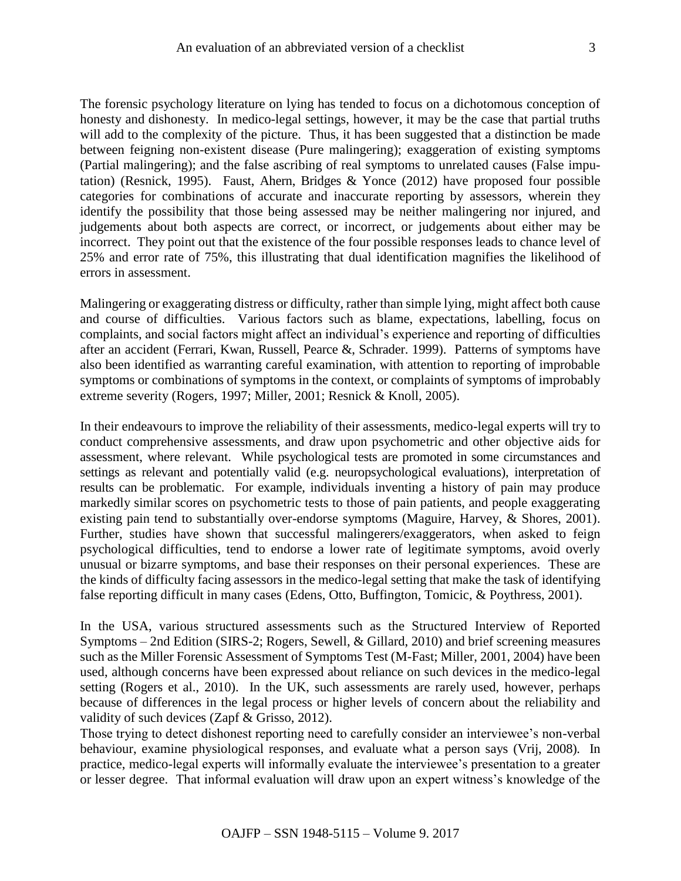The forensic psychology literature on lying has tended to focus on a dichotomous conception of honesty and dishonesty. In medico-legal settings, however, it may be the case that partial truths will add to the complexity of the picture. Thus, it has been suggested that a distinction be made between feigning non-existent disease (Pure malingering); exaggeration of existing symptoms (Partial malingering); and the false ascribing of real symptoms to unrelated causes (False imputation) (Resnick, 1995). Faust, Ahern, Bridges  $\&$  Yonce (2012) have proposed four possible categories for combinations of accurate and inaccurate reporting by assessors, wherein they identify the possibility that those being assessed may be neither malingering nor injured, and judgements about both aspects are correct, or incorrect, or judgements about either may be incorrect. They point out that the existence of the four possible responses leads to chance level of 25% and error rate of 75%, this illustrating that dual identification magnifies the likelihood of errors in assessment.

Malingering or exaggerating distress or difficulty, rather than simple lying, might affect both cause and course of difficulties. Various factors such as blame, expectations, labelling, focus on complaints, and social factors might affect an individual's experience and reporting of difficulties after an accident (Ferrari, Kwan, Russell, Pearce &, Schrader. 1999). Patterns of symptoms have also been identified as warranting careful examination, with attention to reporting of improbable symptoms or combinations of symptoms in the context, or complaints of symptoms of improbably extreme severity (Rogers, 1997; Miller, 2001; Resnick & Knoll, 2005).

In their endeavours to improve the reliability of their assessments, medico-legal experts will try to conduct comprehensive assessments, and draw upon psychometric and other objective aids for assessment, where relevant. While psychological tests are promoted in some circumstances and settings as relevant and potentially valid (e.g. neuropsychological evaluations), interpretation of results can be problematic. For example, individuals inventing a history of pain may produce markedly similar scores on psychometric tests to those of pain patients, and people exaggerating existing pain tend to substantially over-endorse symptoms (Maguire, Harvey, & Shores, 2001). Further, studies have shown that successful malingerers/exaggerators, when asked to feign psychological difficulties, tend to endorse a lower rate of legitimate symptoms, avoid overly unusual or bizarre symptoms, and base their responses on their personal experiences. These are the kinds of difficulty facing assessors in the medico-legal setting that make the task of identifying false reporting difficult in many cases (Edens, Otto, Buffington, Tomicic, & Poythress, 2001).

In the USA, various structured assessments such as the Structured Interview of Reported Symptoms – 2nd Edition (SIRS-2; Rogers, Sewell, & Gillard, 2010) and brief screening measures such as the Miller Forensic Assessment of Symptoms Test (M-Fast; Miller, 2001, 2004) have been used, although concerns have been expressed about reliance on such devices in the medico-legal setting (Rogers et al., 2010). In the UK, such assessments are rarely used, however, perhaps because of differences in the legal process or higher levels of concern about the reliability and validity of such devices (Zapf & Grisso, 2012).

Those trying to detect dishonest reporting need to carefully consider an interviewee's non-verbal behaviour, examine physiological responses, and evaluate what a person says (Vrij, 2008). In practice, medico-legal experts will informally evaluate the interviewee's presentation to a greater or lesser degree. That informal evaluation will draw upon an expert witness's knowledge of the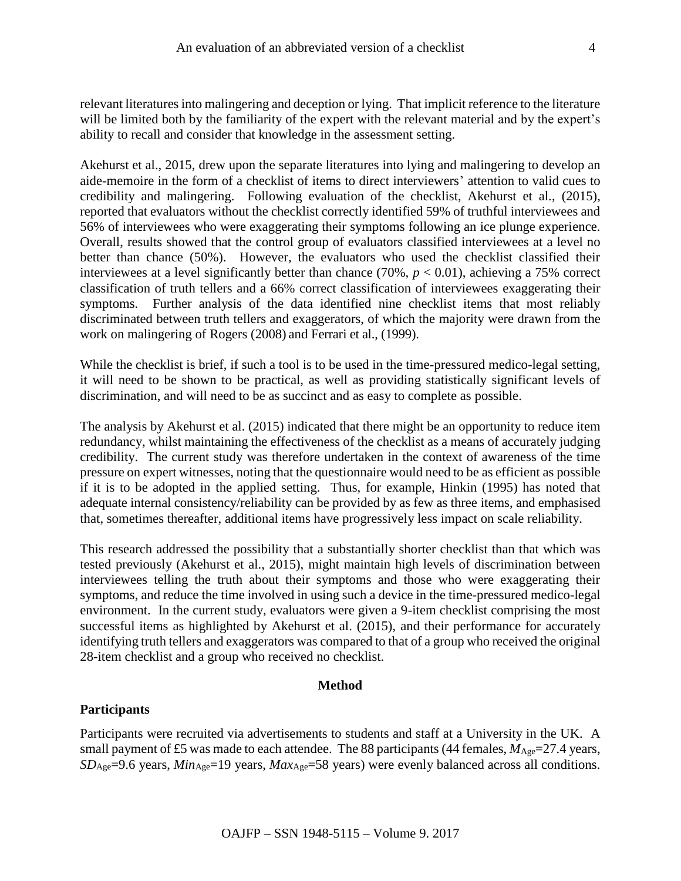relevant literatures into malingering and deception or lying. That implicit reference to the literature will be limited both by the familiarity of the expert with the relevant material and by the expert's ability to recall and consider that knowledge in the assessment setting.

Akehurst et al., 2015, drew upon the separate literatures into lying and malingering to develop an aide-memoire in the form of a checklist of items to direct interviewers' attention to valid cues to credibility and malingering. Following evaluation of the checklist, Akehurst et al., (2015), reported that evaluators without the checklist correctly identified 59% of truthful interviewees and 56% of interviewees who were exaggerating their symptoms following an ice plunge experience. Overall, results showed that the control group of evaluators classified interviewees at a level no better than chance (50%). However, the evaluators who used the checklist classified their interviewees at a level significantly better than chance  $(70\%, p < 0.01)$ , achieving a 75% correct classification of truth tellers and a 66% correct classification of interviewees exaggerating their symptoms. Further analysis of the data identified nine checklist items that most reliably discriminated between truth tellers and exaggerators, of which the majority were drawn from the work on malingering of Rogers (2008) and Ferrari et al., (1999).

While the checklist is brief, if such a tool is to be used in the time-pressured medico-legal setting, it will need to be shown to be practical, as well as providing statistically significant levels of discrimination, and will need to be as succinct and as easy to complete as possible.

The analysis by Akehurst et al. (2015) indicated that there might be an opportunity to reduce item redundancy, whilst maintaining the effectiveness of the checklist as a means of accurately judging credibility. The current study was therefore undertaken in the context of awareness of the time pressure on expert witnesses, noting that the questionnaire would need to be as efficient as possible if it is to be adopted in the applied setting. Thus, for example, Hinkin (1995) has noted that adequate internal consistency/reliability can be provided by as few as three items, and emphasised that, sometimes thereafter, additional items have progressively less impact on scale reliability.

This research addressed the possibility that a substantially shorter checklist than that which was tested previously (Akehurst et al., 2015), might maintain high levels of discrimination between interviewees telling the truth about their symptoms and those who were exaggerating their symptoms, and reduce the time involved in using such a device in the time-pressured medico-legal environment. In the current study, evaluators were given a 9-item checklist comprising the most successful items as highlighted by Akehurst et al. (2015), and their performance for accurately identifying truth tellers and exaggerators was compared to that of a group who received the original 28-item checklist and a group who received no checklist.

#### **Method**

### **Participants**

Participants were recruited via advertisements to students and staff at a University in the UK. A small payment of £5 was made to each attendee. The 88 participants (44 females,  $M_{\text{Age}}$ =27.4 years, *SD*Age=9.6 years, *Min*Age=19 years, *Max*Age=58 years) were evenly balanced across all conditions.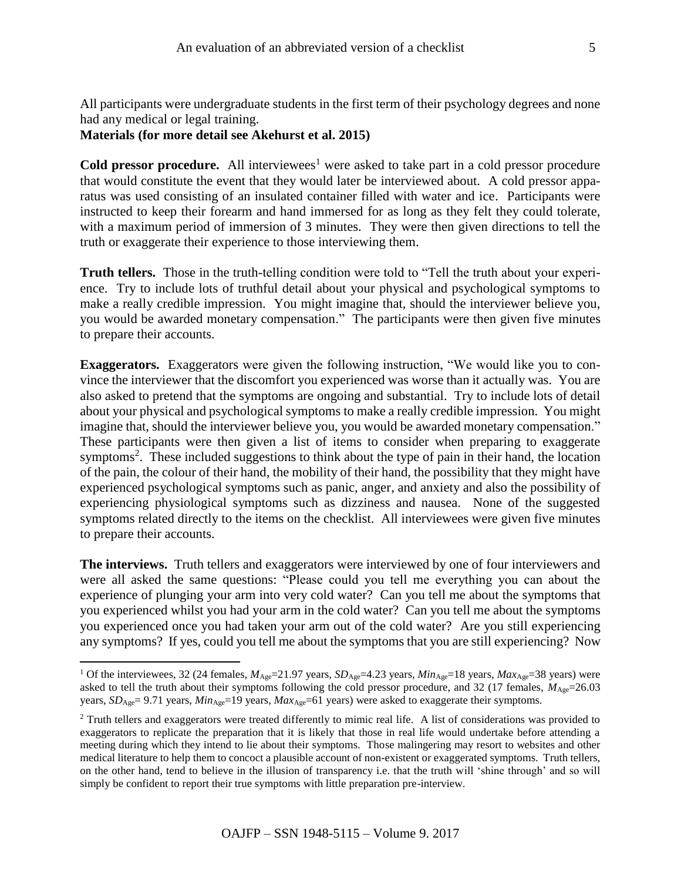All participants were undergraduate students in the first term of their psychology degrees and none had any medical or legal training.

# **Materials (for more detail see Akehurst et al. 2015)**

 $\overline{a}$ 

**Cold pressor procedure.** All interviewees<sup>1</sup> were asked to take part in a cold pressor procedure that would constitute the event that they would later be interviewed about. A cold pressor apparatus was used consisting of an insulated container filled with water and ice. Participants were instructed to keep their forearm and hand immersed for as long as they felt they could tolerate, with a maximum period of immersion of 3 minutes. They were then given directions to tell the truth or exaggerate their experience to those interviewing them.

**Truth tellers.** Those in the truth-telling condition were told to "Tell the truth about your experience. Try to include lots of truthful detail about your physical and psychological symptoms to make a really credible impression. You might imagine that, should the interviewer believe you, you would be awarded monetary compensation." The participants were then given five minutes to prepare their accounts.

**Exaggerators.** Exaggerators were given the following instruction, "We would like you to convince the interviewer that the discomfort you experienced was worse than it actually was. You are also asked to pretend that the symptoms are ongoing and substantial. Try to include lots of detail about your physical and psychological symptoms to make a really credible impression. You might imagine that, should the interviewer believe you, you would be awarded monetary compensation." These participants were then given a list of items to consider when preparing to exaggerate symptoms<sup>2</sup>. These included suggestions to think about the type of pain in their hand, the location of the pain, the colour of their hand, the mobility of their hand, the possibility that they might have experienced psychological symptoms such as panic, anger, and anxiety and also the possibility of experiencing physiological symptoms such as dizziness and nausea. None of the suggested symptoms related directly to the items on the checklist. All interviewees were given five minutes to prepare their accounts.

**The interviews.** Truth tellers and exaggerators were interviewed by one of four interviewers and were all asked the same questions: "Please could you tell me everything you can about the experience of plunging your arm into very cold water? Can you tell me about the symptoms that you experienced whilst you had your arm in the cold water? Can you tell me about the symptoms you experienced once you had taken your arm out of the cold water? Are you still experiencing any symptoms? If yes, could you tell me about the symptoms that you are still experiencing? Now

<sup>&</sup>lt;sup>1</sup> Of the interviewees, 32 (24 females,  $M_{\text{Age}}=21.97$  years,  $SD_{\text{Age}}=4.23$  years,  $Min_{\text{Age}}=18$  years,  $Max_{\text{Age}}=38$  years) were asked to tell the truth about their symptoms following the cold pressor procedure, and 32 (17 females,  $M_{\text{Age}}$ =26.03 years,  $SD_{Age} = 9.71$  years,  $Min_{Age} = 19$  years,  $Max_{Age} = 61$  years) were asked to exaggerate their symptoms.

<sup>&</sup>lt;sup>2</sup> Truth tellers and exaggerators were treated differently to mimic real life. A list of considerations was provided to exaggerators to replicate the preparation that it is likely that those in real life would undertake before attending a meeting during which they intend to lie about their symptoms. Those malingering may resort to websites and other medical literature to help them to concoct a plausible account of non-existent or exaggerated symptoms. Truth tellers, on the other hand, tend to believe in the illusion of transparency i.e. that the truth will 'shine through' and so will simply be confident to report their true symptoms with little preparation pre-interview.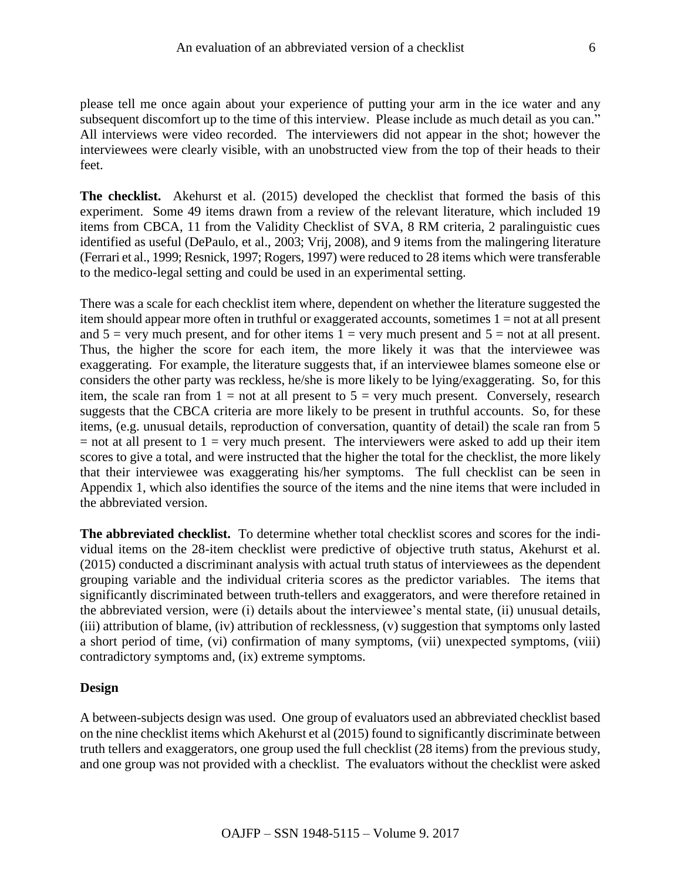please tell me once again about your experience of putting your arm in the ice water and any subsequent discomfort up to the time of this interview. Please include as much detail as you can." All interviews were video recorded. The interviewers did not appear in the shot; however the interviewees were clearly visible, with an unobstructed view from the top of their heads to their feet.

**The checklist.** Akehurst et al. (2015) developed the checklist that formed the basis of this experiment. Some 49 items drawn from a review of the relevant literature, which included 19 items from CBCA, 11 from the Validity Checklist of SVA, 8 RM criteria, 2 paralinguistic cues identified as useful (DePaulo, et al., 2003; Vrij, 2008), and 9 items from the malingering literature (Ferrari et al., 1999; Resnick, 1997; Rogers, 1997) were reduced to 28 items which were transferable to the medico-legal setting and could be used in an experimental setting.

There was a scale for each checklist item where, dependent on whether the literature suggested the item should appear more often in truthful or exaggerated accounts, sometimes  $1 = not$  at all present and  $5 = \text{very much present, and for other items } 1 = \text{very much present and } 5 = \text{not at all present.}$ Thus, the higher the score for each item, the more likely it was that the interviewee was exaggerating. For example, the literature suggests that, if an interviewee blames someone else or considers the other party was reckless, he/she is more likely to be lying/exaggerating. So, for this item, the scale ran from  $1 = not$  at all present to  $5 = very$  much present. Conversely, research suggests that the CBCA criteria are more likely to be present in truthful accounts. So, for these items, (e.g. unusual details, reproduction of conversation, quantity of detail) the scale ran from 5  $=$  not at all present to 1  $=$  very much present. The interviewers were asked to add up their item scores to give a total, and were instructed that the higher the total for the checklist, the more likely that their interviewee was exaggerating his/her symptoms. The full checklist can be seen in Appendix 1, which also identifies the source of the items and the nine items that were included in the abbreviated version.

**The abbreviated checklist.** To determine whether total checklist scores and scores for the individual items on the 28-item checklist were predictive of objective truth status, Akehurst et al. (2015) conducted a discriminant analysis with actual truth status of interviewees as the dependent grouping variable and the individual criteria scores as the predictor variables. The items that significantly discriminated between truth-tellers and exaggerators, and were therefore retained in the abbreviated version, were (i) details about the interviewee's mental state, (ii) unusual details, (iii) attribution of blame, (iv) attribution of recklessness, (v) suggestion that symptoms only lasted a short period of time, (vi) confirmation of many symptoms, (vii) unexpected symptoms, (viii) contradictory symptoms and, (ix) extreme symptoms.

#### **Design**

A between-subjects design was used. One group of evaluators used an abbreviated checklist based on the nine checklist items which Akehurst et al (2015) found to significantly discriminate between truth tellers and exaggerators, one group used the full checklist (28 items) from the previous study, and one group was not provided with a checklist. The evaluators without the checklist were asked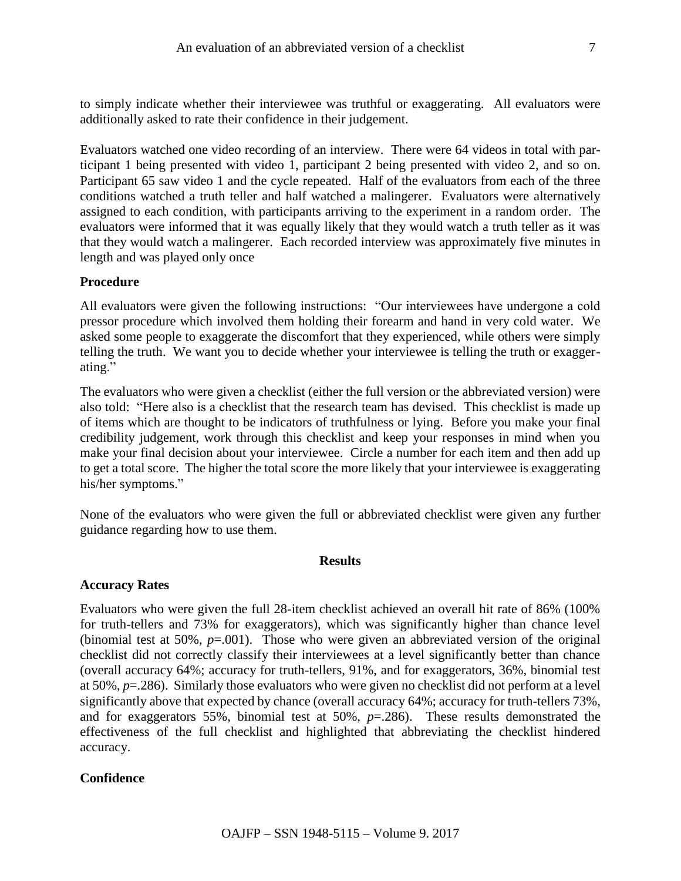Evaluators watched one video recording of an interview. There were 64 videos in total with participant 1 being presented with video 1, participant 2 being presented with video 2, and so on. Participant 65 saw video 1 and the cycle repeated. Half of the evaluators from each of the three conditions watched a truth teller and half watched a malingerer. Evaluators were alternatively assigned to each condition, with participants arriving to the experiment in a random order. The evaluators were informed that it was equally likely that they would watch a truth teller as it was that they would watch a malingerer. Each recorded interview was approximately five minutes in length and was played only once

## **Procedure**

All evaluators were given the following instructions: "Our interviewees have undergone a cold pressor procedure which involved them holding their forearm and hand in very cold water. We asked some people to exaggerate the discomfort that they experienced, while others were simply telling the truth. We want you to decide whether your interviewee is telling the truth or exaggerating."

The evaluators who were given a checklist (either the full version or the abbreviated version) were also told: "Here also is a checklist that the research team has devised. This checklist is made up of items which are thought to be indicators of truthfulness or lying. Before you make your final credibility judgement, work through this checklist and keep your responses in mind when you make your final decision about your interviewee. Circle a number for each item and then add up to get a total score. The higher the total score the more likely that your interviewee is exaggerating his/her symptoms."

None of the evaluators who were given the full or abbreviated checklist were given any further guidance regarding how to use them.

## **Results**

## **Accuracy Rates**

Evaluators who were given the full 28-item checklist achieved an overall hit rate of 86% (100% for truth-tellers and 73% for exaggerators), which was significantly higher than chance level (binomial test at 50%,  $p=0.001$ ). Those who were given an abbreviated version of the original checklist did not correctly classify their interviewees at a level significantly better than chance (overall accuracy 64%; accuracy for truth-tellers, 91%, and for exaggerators, 36%, binomial test at 50%, *p*=.286). Similarly those evaluators who were given no checklist did not perform at a level significantly above that expected by chance (overall accuracy 64%; accuracy for truth-tellers 73%, and for exaggerators 55%, binomial test at 50%, *p*=.286). These results demonstrated the effectiveness of the full checklist and highlighted that abbreviating the checklist hindered accuracy.

# **Confidence**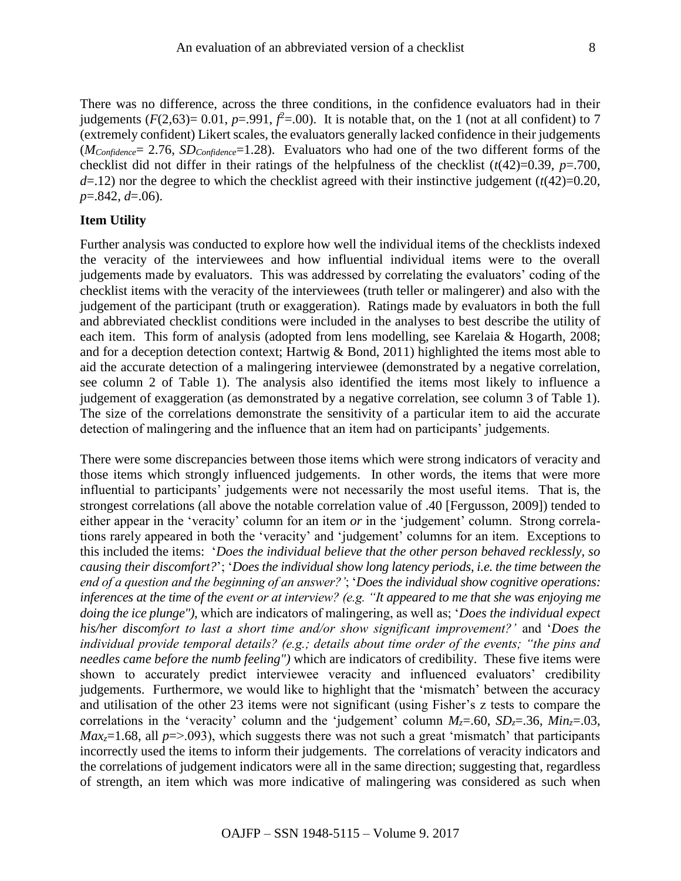There was no difference, across the three conditions, in the confidence evaluators had in their judgements  $(F(2,63)=0.01, p=.991, f^2=.00)$ . It is notable that, on the 1 (not at all confident) to 7 (extremely confident) Likert scales, the evaluators generally lacked confidence in their judgements (*MConfidence*= 2.76, *SDConfidence*=1.28). Evaluators who had one of the two different forms of the checklist did not differ in their ratings of the helpfulness of the checklist  $(t(42)=0.39, p=.700,$  $d=$ .12) nor the degree to which the checklist agreed with their instinctive judgement ( $t$ (42)=0.20, *p*=.842, *d*=.06).

### **Item Utility**

Further analysis was conducted to explore how well the individual items of the checklists indexed the veracity of the interviewees and how influential individual items were to the overall judgements made by evaluators. This was addressed by correlating the evaluators' coding of the checklist items with the veracity of the interviewees (truth teller or malingerer) and also with the judgement of the participant (truth or exaggeration). Ratings made by evaluators in both the full and abbreviated checklist conditions were included in the analyses to best describe the utility of each item. This form of analysis (adopted from lens modelling, see Karelaia & Hogarth, 2008; and for a deception detection context; Hartwig & Bond, 2011) highlighted the items most able to aid the accurate detection of a malingering interviewee (demonstrated by a negative correlation, see column 2 of Table 1). The analysis also identified the items most likely to influence a judgement of exaggeration (as demonstrated by a negative correlation, see column 3 of Table 1). The size of the correlations demonstrate the sensitivity of a particular item to aid the accurate detection of malingering and the influence that an item had on participants' judgements.

There were some discrepancies between those items which were strong indicators of veracity and those items which strongly influenced judgements. In other words, the items that were more influential to participants' judgements were not necessarily the most useful items. That is, the strongest correlations (all above the notable correlation value of .40 [Fergusson, 2009]) tended to either appear in the 'veracity' column for an item *or* in the 'judgement' column. Strong correlations rarely appeared in both the 'veracity' and 'judgement' columns for an item. Exceptions to this included the items: '*Does the individual believe that the other person behaved recklessly, so causing their discomfort?*'; '*Does the individual show long latency periods, i.e. the time between the end of a question and the beginning of an answer?'*; '*Does the individual show cognitive operations: inferences at the time of the event or at interview? (e.g. "It appeared to me that she was enjoying me doing the ice plunge"),* which are indicators of malingering, as well as; '*Does the individual expect his/her discomfort to last a short time and/or show significant improvement?'* and '*Does the individual provide temporal details? (e.g.; details about time order of the events; "the pins and needles came before the numb feeling")* which are indicators of credibility. These five items were shown to accurately predict interviewee veracity and influenced evaluators' credibility judgements. Furthermore, we would like to highlight that the 'mismatch' between the accuracy and utilisation of the other 23 items were not significant (using Fisher's z tests to compare the correlations in the 'veracity' column and the 'judgement' column  $M_z = .60$ ,  $SD_z = .36$ ,  $Min_z = .03$ ,  $Max_z=1.68$ , all  $p=>0.093$ ), which suggests there was not such a great 'mismatch' that participants incorrectly used the items to inform their judgements. The correlations of veracity indicators and the correlations of judgement indicators were all in the same direction; suggesting that, regardless of strength, an item which was more indicative of malingering was considered as such when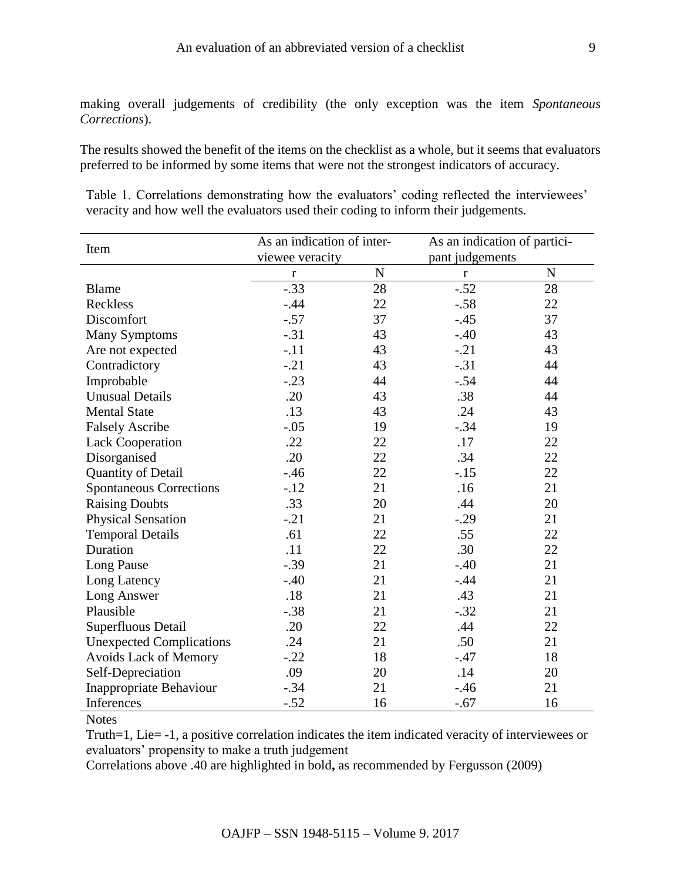making overall judgements of credibility (the only exception was the item *Spontaneous Corrections*).

The results showed the benefit of the items on the checklist as a whole, but it seems that evaluators preferred to be informed by some items that were not the strongest indicators of accuracy.

Table 1. Correlations demonstrating how the evaluators' coding reflected the interviewees' veracity and how well the evaluators used their coding to inform their judgements.

|                                 | As an indication of inter- |             | As an indication of partici- |             |
|---------------------------------|----------------------------|-------------|------------------------------|-------------|
| Item                            | viewee veracity            |             | pant judgements              |             |
|                                 | $\mathbf r$                | $\mathbf N$ | $\mathbf r$                  | $\mathbf N$ |
| <b>Blame</b>                    | $-.33$                     | 28          | $-.52$                       | 28          |
| Reckless                        | $-.44$                     | 22          | $-.58$                       | 22          |
| Discomfort                      | $-.57$                     | 37          | $-.45$                       | 37          |
| <b>Many Symptoms</b>            | $-.31$                     | 43          | $-.40$                       | 43          |
| Are not expected                | $-.11$                     | 43          | $-.21$                       | 43          |
| Contradictory                   | $-.21$                     | 43          | $-.31$                       | 44          |
| Improbable                      | $-.23$                     | 44          | $-.54$                       | 44          |
| <b>Unusual Details</b>          | .20                        | 43          | .38                          | 44          |
| <b>Mental State</b>             | .13                        | 43          | .24                          | 43          |
| <b>Falsely Ascribe</b>          | $-.05$                     | 19          | $-.34$                       | 19          |
| <b>Lack Cooperation</b>         | .22                        | 22          | .17                          | 22          |
| Disorganised                    | .20                        | 22          | .34                          | 22          |
| Quantity of Detail              | $-46$                      | 22          | $-.15$                       | 22          |
| <b>Spontaneous Corrections</b>  | $-.12$                     | 21          | .16                          | 21          |
| <b>Raising Doubts</b>           | .33                        | 20          | .44                          | 20          |
| <b>Physical Sensation</b>       | $-.21$                     | 21          | $-.29$                       | 21          |
| <b>Temporal Details</b>         | .61                        | 22          | .55                          | 22          |
| Duration                        | .11                        | 22          | .30                          | 22          |
| Long Pause                      | $-.39$                     | 21          | $-.40$                       | 21          |
| Long Latency                    | $-.40$                     | 21          | $-.44$                       | 21          |
| Long Answer                     | .18                        | 21          | .43                          | 21          |
| Plausible                       | $-.38$                     | 21          | $-.32$                       | 21          |
| Superfluous Detail              | .20                        | 22          | .44                          | 22          |
| <b>Unexpected Complications</b> | .24                        | 21          | .50                          | 21          |
| Avoids Lack of Memory           | $-.22$                     | 18          | $-.47$                       | 18          |
| Self-Depreciation               | .09                        | 20          | .14                          | 20          |
| Inappropriate Behaviour         | $-.34$                     | 21          | $-0.46$                      | 21          |
| Inferences                      | $-.52$                     | 16          | $-.67$                       | 16          |

**Notes** 

Truth=1, Lie= -1, a positive correlation indicates the item indicated veracity of interviewees or evaluators' propensity to make a truth judgement

Correlations above .40 are highlighted in bold**,** as recommended by Fergusson (2009)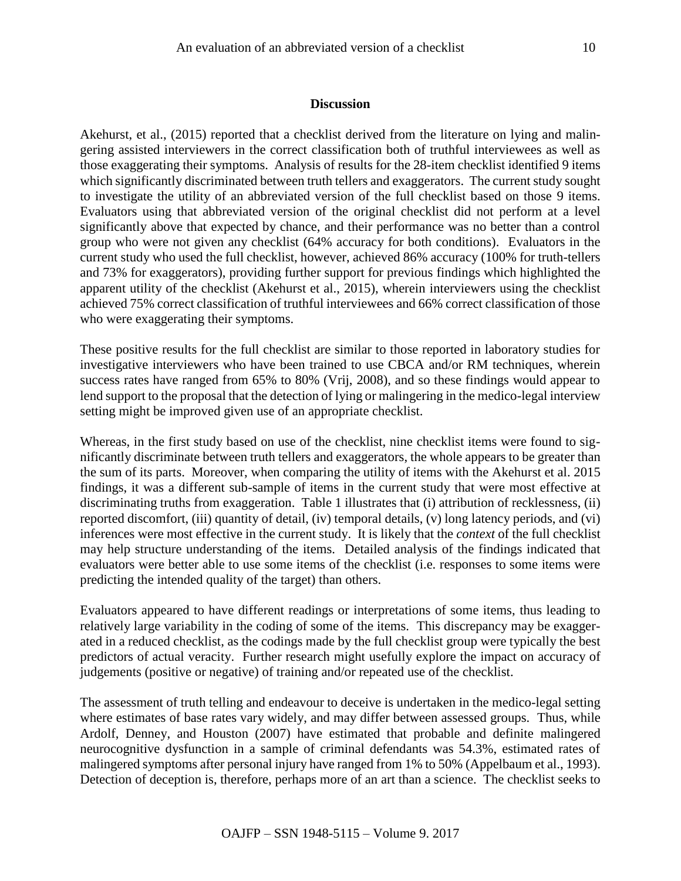#### **Discussion**

Akehurst, et al., (2015) reported that a checklist derived from the literature on lying and malingering assisted interviewers in the correct classification both of truthful interviewees as well as those exaggerating their symptoms. Analysis of results for the 28-item checklist identified 9 items which significantly discriminated between truth tellers and exaggerators. The current study sought to investigate the utility of an abbreviated version of the full checklist based on those 9 items. Evaluators using that abbreviated version of the original checklist did not perform at a level significantly above that expected by chance, and their performance was no better than a control group who were not given any checklist (64% accuracy for both conditions). Evaluators in the current study who used the full checklist, however, achieved 86% accuracy (100% for truth-tellers and 73% for exaggerators), providing further support for previous findings which highlighted the apparent utility of the checklist (Akehurst et al., 2015), wherein interviewers using the checklist achieved 75% correct classification of truthful interviewees and 66% correct classification of those who were exaggerating their symptoms.

These positive results for the full checklist are similar to those reported in laboratory studies for investigative interviewers who have been trained to use CBCA and/or RM techniques, wherein success rates have ranged from 65% to 80% (Vrij, 2008), and so these findings would appear to lend support to the proposal that the detection of lying or malingering in the medico-legal interview setting might be improved given use of an appropriate checklist.

Whereas, in the first study based on use of the checklist, nine checklist items were found to significantly discriminate between truth tellers and exaggerators, the whole appears to be greater than the sum of its parts. Moreover, when comparing the utility of items with the Akehurst et al. 2015 findings, it was a different sub-sample of items in the current study that were most effective at discriminating truths from exaggeration. Table 1 illustrates that (i) attribution of recklessness, (ii) reported discomfort, (iii) quantity of detail, (iv) temporal details, (v) long latency periods, and (vi) inferences were most effective in the current study. It is likely that the *context* of the full checklist may help structure understanding of the items. Detailed analysis of the findings indicated that evaluators were better able to use some items of the checklist (i.e. responses to some items were predicting the intended quality of the target) than others.

Evaluators appeared to have different readings or interpretations of some items, thus leading to relatively large variability in the coding of some of the items. This discrepancy may be exaggerated in a reduced checklist, as the codings made by the full checklist group were typically the best predictors of actual veracity. Further research might usefully explore the impact on accuracy of judgements (positive or negative) of training and/or repeated use of the checklist.

The assessment of truth telling and endeavour to deceive is undertaken in the medico-legal setting where estimates of base rates vary widely, and may differ between assessed groups. Thus, while Ardolf, Denney, and Houston (2007) have estimated that probable and definite malingered neurocognitive dysfunction in a sample of criminal defendants was 54.3%, estimated rates of malingered symptoms after personal injury have ranged from 1% to 50% (Appelbaum et al., 1993). Detection of deception is, therefore, perhaps more of an art than a science. The checklist seeks to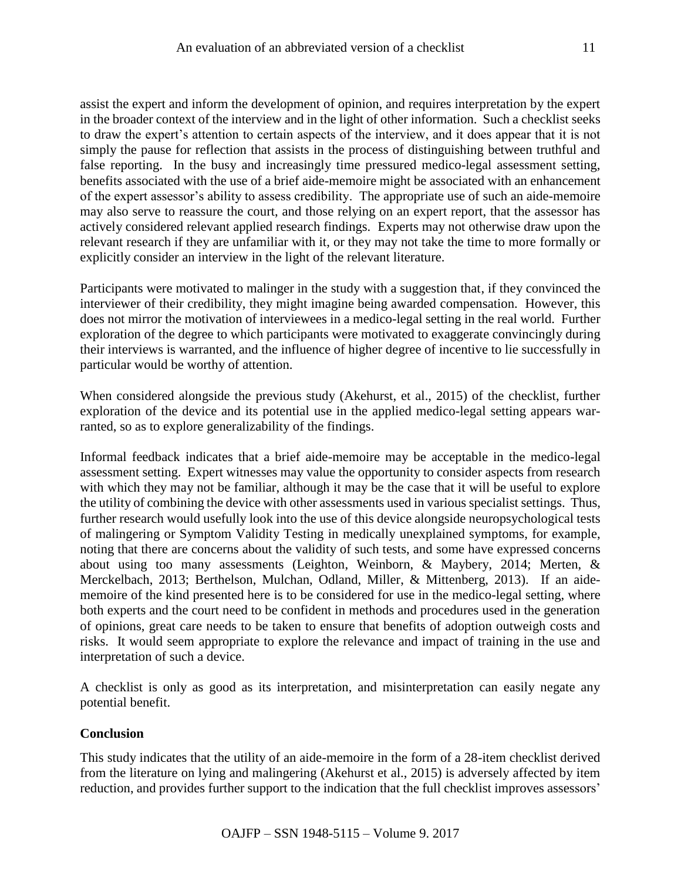assist the expert and inform the development of opinion, and requires interpretation by the expert in the broader context of the interview and in the light of other information. Such a checklist seeks to draw the expert's attention to certain aspects of the interview, and it does appear that it is not simply the pause for reflection that assists in the process of distinguishing between truthful and false reporting. In the busy and increasingly time pressured medico-legal assessment setting, benefits associated with the use of a brief aide-memoire might be associated with an enhancement of the expert assessor's ability to assess credibility. The appropriate use of such an aide-memoire may also serve to reassure the court, and those relying on an expert report, that the assessor has actively considered relevant applied research findings. Experts may not otherwise draw upon the relevant research if they are unfamiliar with it, or they may not take the time to more formally or explicitly consider an interview in the light of the relevant literature.

Participants were motivated to malinger in the study with a suggestion that, if they convinced the interviewer of their credibility, they might imagine being awarded compensation. However, this does not mirror the motivation of interviewees in a medico-legal setting in the real world. Further exploration of the degree to which participants were motivated to exaggerate convincingly during their interviews is warranted, and the influence of higher degree of incentive to lie successfully in particular would be worthy of attention.

When considered alongside the previous study (Akehurst, et al., 2015) of the checklist, further exploration of the device and its potential use in the applied medico-legal setting appears warranted, so as to explore generalizability of the findings.

Informal feedback indicates that a brief aide-memoire may be acceptable in the medico-legal assessment setting. Expert witnesses may value the opportunity to consider aspects from research with which they may not be familiar, although it may be the case that it will be useful to explore the utility of combining the device with other assessments used in various specialist settings. Thus, further research would usefully look into the use of this device alongside neuropsychological tests of malingering or Symptom Validity Testing in medically unexplained symptoms, for example, noting that there are concerns about the validity of such tests, and some have expressed concerns about using too many assessments (Leighton, Weinborn, & Maybery, 2014; Merten, & Merckelbach, 2013; Berthelson, Mulchan, Odland, Miller, & Mittenberg, 2013). If an aidememoire of the kind presented here is to be considered for use in the medico-legal setting, where both experts and the court need to be confident in methods and procedures used in the generation of opinions, great care needs to be taken to ensure that benefits of adoption outweigh costs and risks. It would seem appropriate to explore the relevance and impact of training in the use and interpretation of such a device.

A checklist is only as good as its interpretation, and misinterpretation can easily negate any potential benefit.

## **Conclusion**

This study indicates that the utility of an aide-memoire in the form of a 28-item checklist derived from the literature on lying and malingering (Akehurst et al., 2015) is adversely affected by item reduction, and provides further support to the indication that the full checklist improves assessors'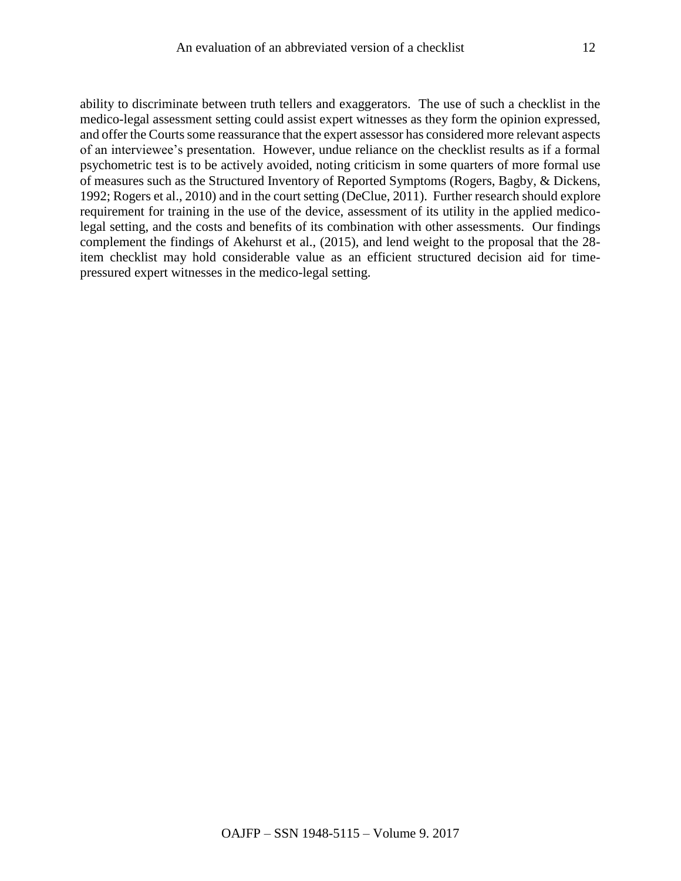ability to discriminate between truth tellers and exaggerators. The use of such a checklist in the medico-legal assessment setting could assist expert witnesses as they form the opinion expressed, and offer the Courts some reassurance that the expert assessor has considered more relevant aspects of an interviewee's presentation. However, undue reliance on the checklist results as if a formal psychometric test is to be actively avoided, noting criticism in some quarters of more formal use of measures such as the Structured Inventory of Reported Symptoms (Rogers, Bagby, & Dickens, 1992; Rogers et al., 2010) and in the court setting (DeClue, 2011). Further research should explore requirement for training in the use of the device, assessment of its utility in the applied medicolegal setting, and the costs and benefits of its combination with other assessments. Our findings complement the findings of Akehurst et al., (2015), and lend weight to the proposal that the 28 item checklist may hold considerable value as an efficient structured decision aid for timepressured expert witnesses in the medico-legal setting.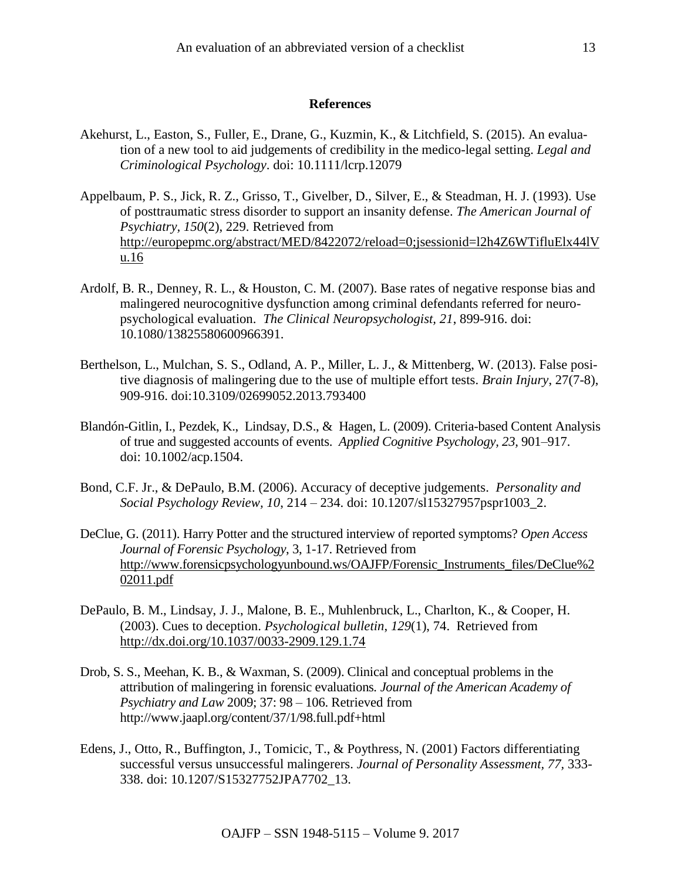#### **References**

- Akehurst, L., Easton, S., Fuller, E., Drane, G., Kuzmin, K., & Litchfield, S. (2015). An evaluation of a new tool to aid judgements of credibility in the medico-legal setting. *Legal and Criminological Psychology*. doi: 10.1111/lcrp.12079
- Appelbaum, P. S., Jick, R. Z., Grisso, T., Givelber, D., Silver, E., & Steadman, H. J. (1993). Use of posttraumatic stress disorder to support an insanity defense. *The American Journal of Psychiatry, 150*(2), 229. Retrieved from [http://europepmc.org/abstract/MED/8422072/reload=0;jsessionid=l2h4Z6WTifluElx44lV](http://europepmc.org/abstract/MED/8422072/reload=0;jsessionid=l2h4Z6WTifluElx44lVu.16) [u.16](http://europepmc.org/abstract/MED/8422072/reload=0;jsessionid=l2h4Z6WTifluElx44lVu.16)
- Ardolf, B. R., Denney, R. L., & Houston, C. M. (2007). Base rates of negative response bias and malingered neurocognitive dysfunction among criminal defendants referred for neuropsychological evaluation. *The Clinical Neuropsychologist, 21*, 899-916. doi: 10.1080/13825580600966391.
- Berthelson, L., Mulchan, S. S., Odland, A. P., Miller, L. J., & Mittenberg, W. (2013). False positive diagnosis of malingering due to the use of multiple effort tests. *Brain Injury*, 27(7-8), 909-916. doi:10.3109/02699052.2013.793400
- Blandón-Gitlin, I., Pezdek, K., Lindsay, D.S., & Hagen, L. (2009). Criteria-based Content Analysis of true and suggested accounts of events. *Applied Cognitive Psychology, 23,* 901–917. doi: 10.1002/acp.1504.
- Bond, C.F. Jr., & DePaulo, B.M. (2006). Accuracy of deceptive judgements. *Personality and Social Psychology Review, 10*, 214 – 234. doi: 10.1207/sl15327957pspr1003\_2.
- DeClue, G. (2011). Harry Potter and the structured interview of reported symptoms? *Open Access Journal of Forensic Psychology*, 3, 1-17. Retrieved from [http://www.forensicpsychologyunbound.ws/OAJFP/Forensic\\_Instruments\\_files/DeClue%2](http://www.forensicpsychologyunbound.ws/OAJFP/Forensic_Instruments_files/DeClue%202011.pdf) [02011.pdf](http://www.forensicpsychologyunbound.ws/OAJFP/Forensic_Instruments_files/DeClue%202011.pdf)
- DePaulo, B. M., Lindsay, J. J., Malone, B. E., Muhlenbruck, L., Charlton, K., & Cooper, H. (2003). Cues to deception. *Psychological bulletin*, *129*(1), 74. Retrieved from <http://dx.doi.org/10.1037/0033-2909.129.1.74>
- Drob, S. S., Meehan, K. B., & Waxman, S. (2009). Clinical and conceptual problems in the attribution of malingering in forensic evaluations*. Journal of the American Academy of Psychiatry and Law* 2009; 37: 98 – 106. Retrieved from http://www.jaapl.org/content/37/1/98.full.pdf+html
- Edens, J., Otto, R., Buffington, J., Tomicic, T., & Poythress, N. (2001) Factors differentiating successful versus unsuccessful malingerers. *Journal of Personality Assessment, 77,* 333- 338. doi: 10.1207/S15327752JPA7702\_13.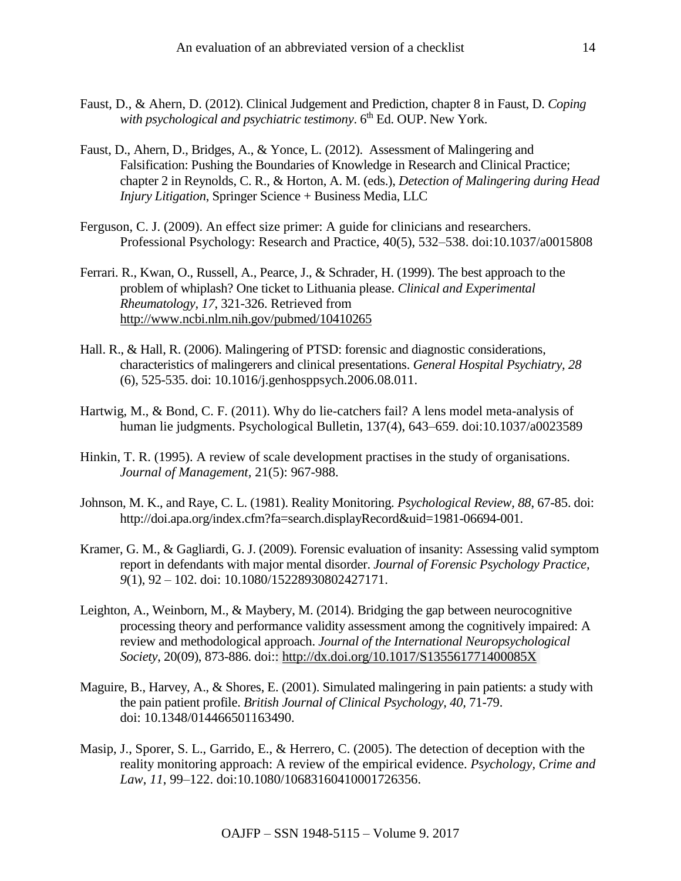- Faust, D., & Ahern, D. (2012). Clinical Judgement and Prediction, chapter 8 in Faust, D. *Coping*  with psychological and psychiatric testimony. 6<sup>th</sup> Ed. OUP. New York.
- Faust, D., Ahern, D., Bridges, A., & Yonce, L. (2012). Assessment of Malingering and Falsification: Pushing the Boundaries of Knowledge in Research and Clinical Practice; chapter 2 in Reynolds, C. R., & Horton, A. M. (eds.), *Detection of Malingering during Head Injury Litigation*, Springer Science + Business Media, LLC
- Ferguson, C. J. (2009). An effect size primer: A guide for clinicians and researchers. Professional Psychology: Research and Practice, 40(5), 532–538. doi:10.1037/a0015808
- Ferrari. R., Kwan, O., Russell, A., Pearce, J., & Schrader, H. (1999). The best approach to the problem of whiplash? One ticket to Lithuania please. *Clinical and Experimental Rheumatology, 17*, 321-326. Retrieved from <http://www.ncbi.nlm.nih.gov/pubmed/10410265>
- Hall. R., & Hall, R. (2006). Malingering of PTSD: forensic and diagnostic considerations, characteristics of malingerers and clinical presentations. *[General Hospital Psychiatry,](http://www.sciencedirect.com/science/journal/01638343) 28* (6), 525-535. doi: 10.1016/j.genhosppsych.2006.08.011.
- Hartwig, M., & Bond, C. F. (2011). Why do lie-catchers fail? A lens model meta-analysis of human lie judgments. Psychological Bulletin, 137(4), 643–659. doi:10.1037/a0023589
- Hinkin, T. R. (1995). A review of scale development practises in the study of organisations. *Journal of Management,* 21(5): 967-988.
- Johnson, M. K., and Raye, C. L. (1981). Reality Monitoring. *Psychological Review, 88*, 67-85. doi: [http://doi.apa.org/index.cfm?fa=search.displayRecord&uid=1981-06694-001.](http://doi.apa.org/index.cfm?fa=search.displayRecord&uid=1981-06694-001)
- Kramer, G. M., & Gagliardi, G. J. (2009). Forensic evaluation of insanity: Assessing valid symptom report in defendants with major mental disorder. *Journal of Forensic Psychology Practice, 9*[\(1\), 9](http://www.informaworld.com/smpp/gotoissue~db=all~content=a908605238)2 – 102. doi: 10.1080/15228930802427171.
- Leighton, A., Weinborn, M., & Maybery, M. (2014). Bridging the gap between neurocognitive processing theory and performance validity assessment among the cognitively impaired: A review and methodological approach. *Journal of the International Neuropsychological Society*, 20(09), 873-886. doi:: <http://dx.doi.org/10.1017/S135561771400085X>
- Maguire, B., Harvey, A., & Shores, E. (2001). Simulated malingering in pain patients: a study with the pain patient profile. *British Journal of Clinical Psychology, 40,* 71-79. doi: 10.1348/014466501163490.
- Masip, J., Sporer, S. L., Garrido, E., & Herrero, C. (2005). The detection of deception with the reality monitoring approach: A review of the empirical evidence. *Psychology, Crime and Law*, *11*, 99–122. doi:10.1080/10683160410001726356.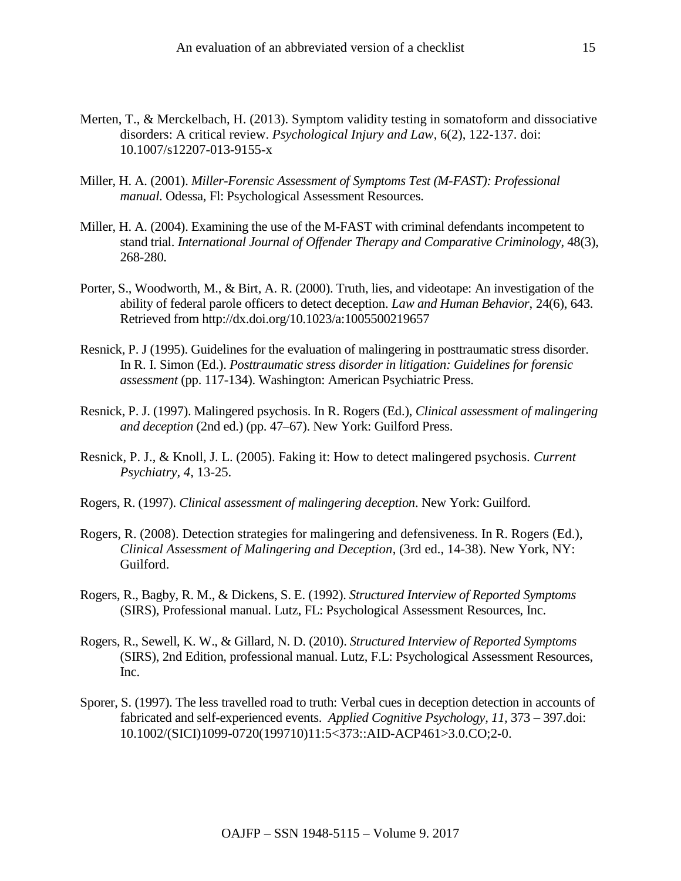- Merten, T., & Merckelbach, H. (2013). Symptom validity testing in somatoform and dissociative disorders: A critical review. *Psychological Injury and Law*, 6(2), 122-137. doi: 10.1007/s12207-013-9155-x
- Miller, H. A. (2001). *Miller-Forensic Assessment of Symptoms Test (M-FAST): Professional manual*. Odessa, Fl: Psychological Assessment Resources.
- Miller, H. A. (2004). Examining the use of the M-FAST with criminal defendants incompetent to stand trial. *International Journal of Offender Therapy and Comparative Criminology*, 48(3), 268-280.
- Porter, S., Woodworth, M., & Birt, A. R. (2000). Truth, lies, and videotape: An investigation of the ability of federal parole officers to detect deception. *Law and Human Behavior*, 24(6), 643. Retrieved from http://dx.doi.org/10.1023/a:1005500219657
- Resnick, P. J (1995). Guidelines for the evaluation of malingering in posttraumatic stress disorder. In R. I. Simon (Ed.). *Posttraumatic stress disorder in litigation: Guidelines for forensic assessment* (pp. 117-134). Washington: American Psychiatric Press.
- Resnick, P. J. (1997). Malingered psychosis. In R. Rogers (Ed.), *Clinical assessment of malingering and deception* (2nd ed.) (pp. 47–67). New York: Guilford Press.
- Resnick, P. J., & Knoll, J. L. (2005). Faking it: How to detect malingered psychosis. *Current Psychiatry, 4*, 13-25.
- Rogers, R. (1997). *Clinical assessment of malingering deception*. New York: Guilford.
- Rogers, R. (2008). Detection strategies for malingering and defensiveness. In R. Rogers (Ed.), *Clinical Assessment of Malingering and Deception*, (3rd ed., 14-38). New York, NY: Guilford.
- Rogers, R., Bagby, R. M., & Dickens, S. E. (1992). *Structured Interview of Reported Symptoms* (SIRS), Professional manual. Lutz, FL: Psychological Assessment Resources, Inc.
- Rogers, R., Sewell, K. W., & Gillard, N. D. (2010). *Structured Interview of Reported Symptoms*  (SIRS), 2nd Edition, professional manual. Lutz, F.L: Psychological Assessment Resources, Inc.
- Sporer, S. (1997). The less travelled road to truth: Verbal cues in deception detection in accounts of fabricated and self-experienced events. *Applied Cognitive Psychology, 11,* 373 – 397.doi: 10.1002/(SICI)1099-0720(199710)11:5<373::AID-ACP461>3.0.CO;2-0.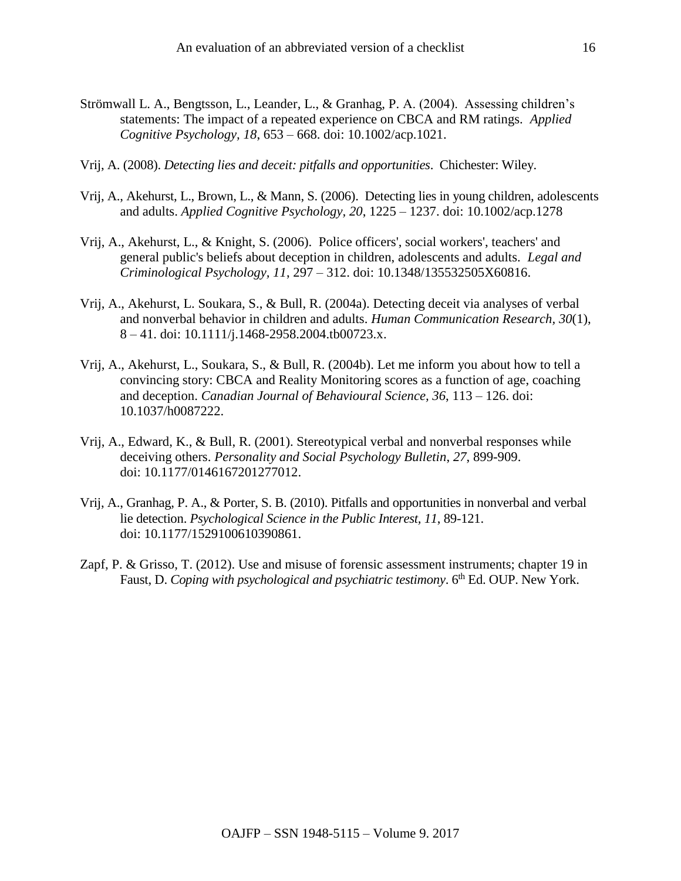- Strömwall L. A., Bengtsson, L., Leander, L., & Granhag, P. A. (2004). Assessing children's statements: The impact of a repeated experience on CBCA and RM ratings. *Applied Cognitive Psychology, 18*, 653 – 668. doi: 10.1002/acp.1021.
- Vrij, A. (2008). *[Detecting lies and deceit: pitfalls and opportunities](http://eu.wiley.com/WileyCDA/WileyTitle/productCd-0470516240.html)*. Chichester: Wiley.
- Vrij, A., Akehurst, L., Brown, L., & Mann, S. (2006). Detecting lies in young children, adolescents and adults. *Applied Cognitive Psychology, 20*, 1225 – 1237. doi: 10.1002/acp.1278
- Vrij, A., Akehurst, L., & Knight, S. (2006). Police officers', social workers', teachers' and general public's beliefs about deception in children, adolescents and adults. *Legal and Criminological Psychology, 11*, 297 – 312. doi: 10.1348/135532505X60816.
- Vrij, A., Akehurst, L. Soukara, S., & Bull, R. (2004a). Detecting deceit via analyses of verbal and nonverbal behavior in children and adults. *Human Communication Research, 30*(1), 8 – 41. doi: 10.1111/j.1468-2958.2004.tb00723.x.
- Vrij, A., Akehurst, L., Soukara, S., & Bull, R. (2004b). Let me inform you about how to tell a convincing story: CBCA and Reality Monitoring scores as a function of age, coaching and deception. *Canadian Journal of Behavioural Science, 36*, 113 – 126. doi: 10.1037/h0087222.
- Vrij, A., Edward, K., & Bull, R. (2001). Stereotypical verbal and nonverbal responses while deceiving others. *Personality and Social Psychology Bulletin*, *27*, 899-909. doi: 10.1177/0146167201277012.
- Vrij, A., Granhag, P. A., & Porter, S. B. (2010). Pitfalls and opportunities in nonverbal and verbal lie detection. *Psychological Science in the Public Interest, 11*, 89-121. doi: 10.1177/1529100610390861.
- Zapf, P. & Grisso, T. (2012). Use and misuse of forensic assessment instruments; chapter 19 in Faust, D. *Coping with psychological and psychiatric testimony*. 6<sup>th</sup> Ed. OUP. New York.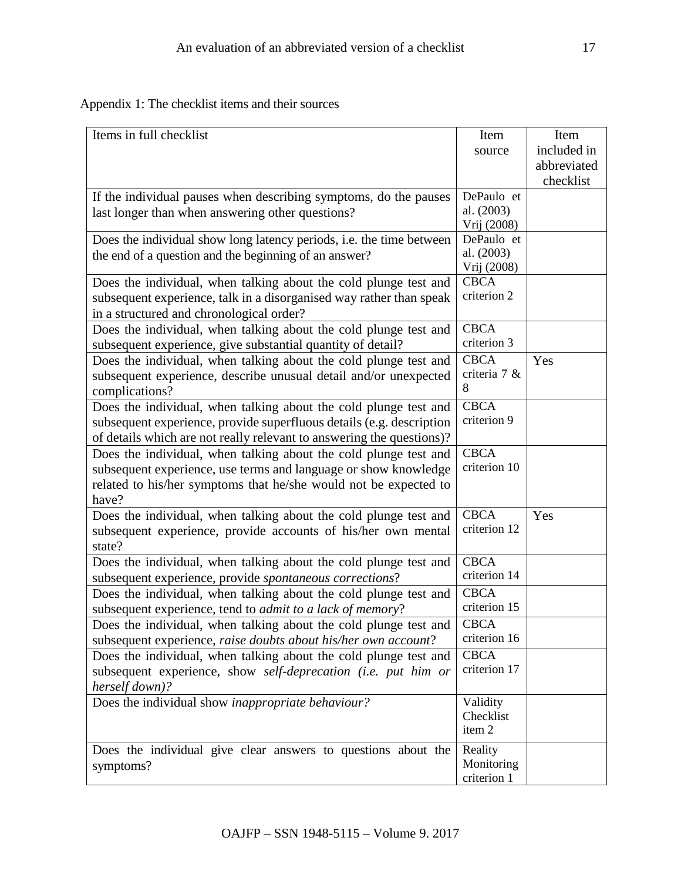Appendix 1: The checklist items and their sources

| Items in full checklist                                                                                                                                                                                           | Item<br>source                          | Item<br>included in<br>abbreviated<br>checklist |
|-------------------------------------------------------------------------------------------------------------------------------------------------------------------------------------------------------------------|-----------------------------------------|-------------------------------------------------|
| If the individual pauses when describing symptoms, do the pauses<br>last longer than when answering other questions?                                                                                              | DePaulo et<br>al. (2003)<br>Vrij (2008) |                                                 |
| Does the individual show long latency periods, i.e. the time between<br>the end of a question and the beginning of an answer?                                                                                     | DePaulo et<br>al. (2003)<br>Vrij (2008) |                                                 |
| Does the individual, when talking about the cold plunge test and<br>subsequent experience, talk in a disorganised way rather than speak<br>in a structured and chronological order?                               | <b>CBCA</b><br>criterion 2              |                                                 |
| Does the individual, when talking about the cold plunge test and<br>subsequent experience, give substantial quantity of detail?                                                                                   | <b>CBCA</b><br>criterion 3              |                                                 |
| Does the individual, when talking about the cold plunge test and<br>subsequent experience, describe unusual detail and/or unexpected<br>complications?                                                            | <b>CBCA</b><br>criteria 7 &<br>8        | Yes                                             |
| Does the individual, when talking about the cold plunge test and<br>subsequent experience, provide superfluous details (e.g. description<br>of details which are not really relevant to answering the questions)? | <b>CBCA</b><br>criterion 9              |                                                 |
| Does the individual, when talking about the cold plunge test and<br>subsequent experience, use terms and language or show knowledge<br>related to his/her symptoms that he/she would not be expected to<br>have?  | <b>CBCA</b><br>criterion 10             |                                                 |
| Does the individual, when talking about the cold plunge test and<br>subsequent experience, provide accounts of his/her own mental<br>state?                                                                       | <b>CBCA</b><br>criterion 12             | Yes                                             |
| Does the individual, when talking about the cold plunge test and<br>subsequent experience, provide spontaneous corrections?                                                                                       | <b>CBCA</b><br>criterion 14             |                                                 |
| Does the individual, when talking about the cold plunge test and<br>subsequent experience, tend to <i>admit to a lack of memory</i> ?                                                                             | <b>CBCA</b><br>criterion 15             |                                                 |
| Does the individual, when talking about the cold plunge test and<br>subsequent experience, raise doubts about his/her own account?                                                                                | <b>CBCA</b><br>criterion 16             |                                                 |
| Does the individual, when talking about the cold plunge test and<br>subsequent experience, show self-deprecation (i.e. put him or<br>herself down)?                                                               | <b>CBCA</b><br>criterion 17             |                                                 |
| Does the individual show inappropriate behaviour?                                                                                                                                                                 | Validity<br>Checklist<br>item 2         |                                                 |
| Does the individual give clear answers to questions about the<br>symptoms?                                                                                                                                        | Reality<br>Monitoring<br>criterion 1    |                                                 |